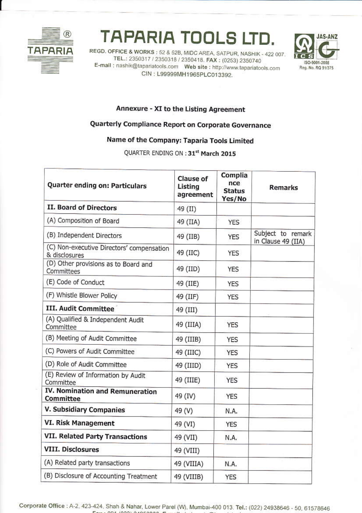

# **TAPARIA TOOLS LTI**

REGD. OFFICE & WORKS: 52 & 52B, MIDC AREA, SATPUR, NASHIK - 422 007. TEL.: 2350317 / 2350318 / 2350418. FAX: (0253) 2350740 E-mail: nashik@tapariatools.com Web site: http://www.tapariatools.com CIN: L99999MH1965PLC013392.



#### Annexure - XI to the Listing Agreement

# Quarterly Compliance Report on Corporate Governance

## Name of the Company: Taparia Tools Limited

QUARTER ENDING ON : 31st March 2015

| Quarter ending on: Particulars                             | <b>Clause of</b><br>Listing<br>agreement | Complia<br>nce<br><b>Status</b><br>Yes/No | <b>Remarks</b>                          |
|------------------------------------------------------------|------------------------------------------|-------------------------------------------|-----------------------------------------|
| II. Board of Directors                                     | 49 (II)                                  |                                           |                                         |
| (A) Composition of Board                                   | 49 (IIA)                                 | <b>YES</b>                                |                                         |
| (B) Independent Directors                                  | 49 (IIB)                                 | <b>YES</b>                                | Subject to remark<br>in Clause 49 (IIA) |
| (C) Non-executive Directors' compensation<br>& disclosures | 49 (IIC)                                 | <b>YES</b>                                |                                         |
| (D) Other provisions as to Board and<br>Committees         | 49 (IID)                                 | <b>YES</b>                                |                                         |
| (E) Code of Conduct                                        | 49 (IIE)                                 | YES                                       |                                         |
| (F) Whistle Blower Policy                                  | 49 (IIF)                                 | <b>YES</b>                                |                                         |
| III. Audit Committee                                       | 49 (III)                                 |                                           |                                         |
| (A) Qualified & Independent Audit<br>Committee             | 49 (IIIA)                                | <b>YES</b>                                |                                         |
| (B) Meeting of Audit Committee                             | 49 (IIIB)                                | <b>YES</b>                                |                                         |
| (C) Powers of Audit Committee                              | 49 (IIIC)                                | <b>YES</b>                                |                                         |
| (D) Role of Audit Committee                                | 49 (IIID)                                | <b>YES</b>                                |                                         |
| (E) Review of Information by Audit<br>Committee            | 49 (IIIE)                                | <b>YES</b>                                |                                         |
| IV. Nomination and Remuneration<br>Committee               | 49 (IV)                                  | YES                                       |                                         |
| V. Subsidiary Companies                                    | 49 (V)                                   | N.A.                                      |                                         |
| VI. Risk Management                                        | 49 (VI)                                  | <b>YES</b>                                |                                         |
| VII. Related Party Transactions                            | 49 (VII)                                 | N.A.                                      |                                         |
| <b>VIII. Disclosures</b>                                   | 49 (VIII)                                |                                           |                                         |
| (A) Related party transactions                             | 49 (VIIIA)                               | N.A.                                      |                                         |
| (B) Disclosure of Accounting Treatment                     | 49 (VIIIB)                               | <b>YES</b>                                |                                         |

Corporate Office: A-2, 423-424, Shah & Nahar, Lower Parel (W), Mumbai-400 013. Tel.: (022) 24938646 - 50, 61578646